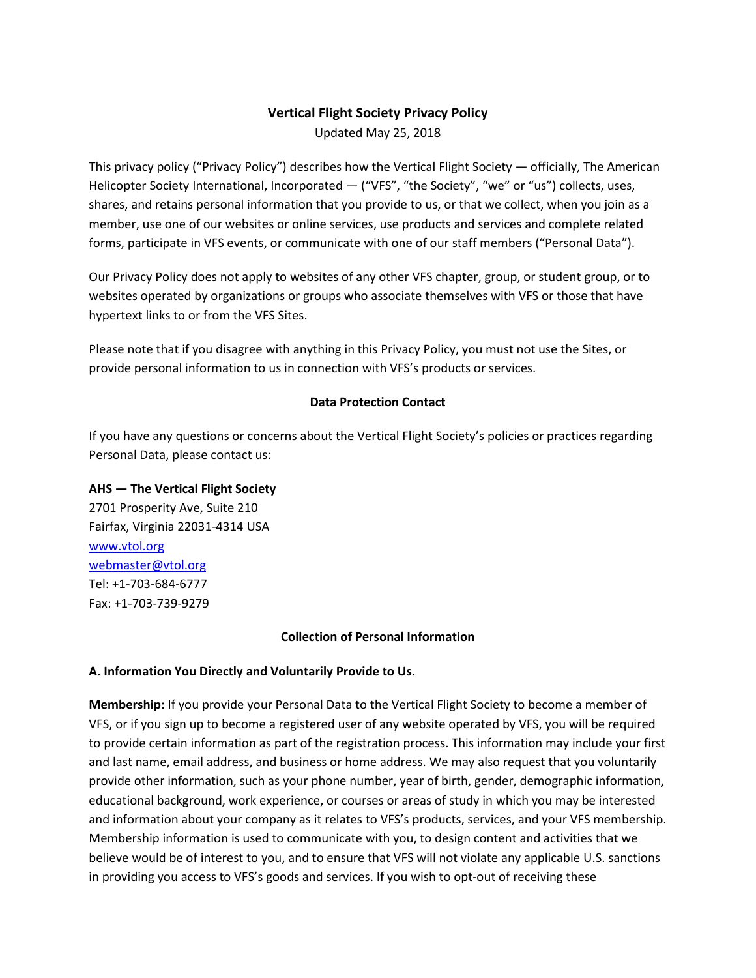# **Vertical Flight Society Privacy Policy**

Updated May 25, 2018

This privacy policy ("Privacy Policy") describes how the Vertical Flight Society — officially, The American Helicopter Society International, Incorporated — ("VFS", "the Society", "we" or "us") collects, uses, shares, and retains personal information that you provide to us, or that we collect, when you join as a member, use one of our websites or online services, use products and services and complete related forms, participate in VFS events, or communicate with one of our staff members ("Personal Data").

Our Privacy Policy does not apply to websites of any other VFS chapter, group, or student group, or to websites operated by organizations or groups who associate themselves with VFS or those that have hypertext links to or from the VFS Sites.

Please note that if you disagree with anything in this Privacy Policy, you must not use the Sites, or provide personal information to us in connection with VFS's products or services.

### **Data Protection Contact**

If you have any questions or concerns about the Vertical Flight Society's policies or practices regarding Personal Data, please contact us:

### **AHS — The Vertical Flight Society**

2701 Prosperity Ave, Suite 210 Fairfax, Virginia 22031-4314 USA [www.vtol.org](https://vtol.org/) [webmaster@vtol.org](mailto:webmaster@vtol.org) Tel: +1-703-684-6777 Fax: +1-703-739-9279

#### **Collection of Personal Information**

#### **A. Information You Directly and Voluntarily Provide to Us.**

**Membership:** If you provide your Personal Data to the Vertical Flight Society to become a member of VFS, or if you sign up to become a registered user of any website operated by VFS, you will be required to provide certain information as part of the registration process. This information may include your first and last name, email address, and business or home address. We may also request that you voluntarily provide other information, such as your phone number, year of birth, gender, demographic information, educational background, work experience, or courses or areas of study in which you may be interested and information about your company as it relates to VFS's products, services, and your VFS membership. Membership information is used to communicate with you, to design content and activities that we believe would be of interest to you, and to ensure that VFS will not violate any applicable U.S. sanctions in providing you access to VFS's goods and services. If you wish to opt-out of receiving these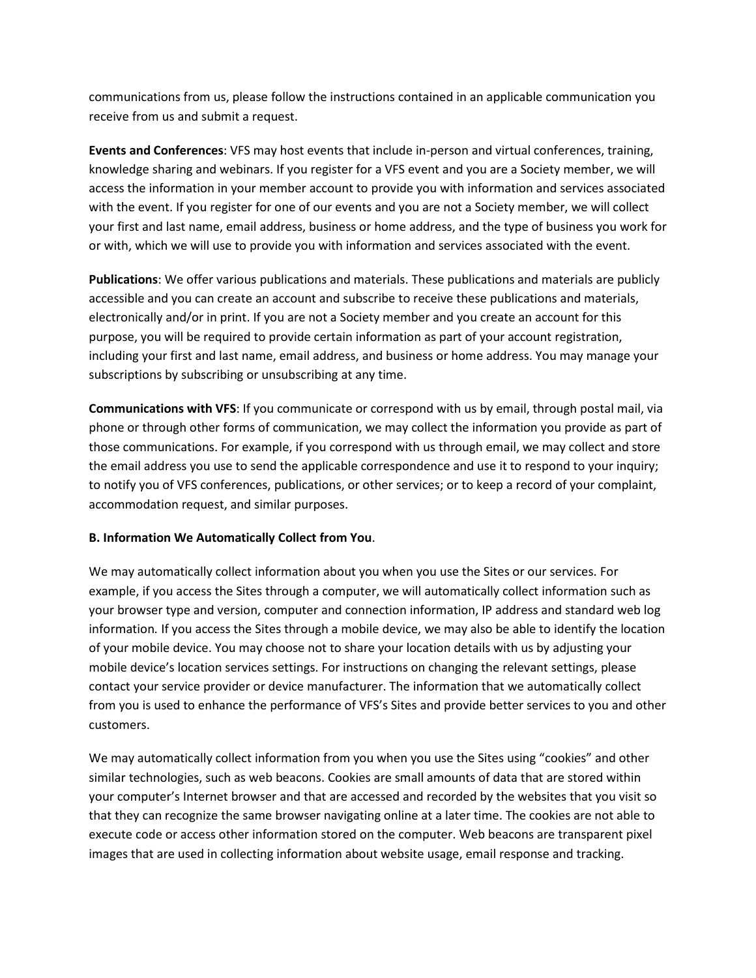communications from us, please follow the instructions contained in an applicable communication you receive from us and submit a request.

**Events and Conferences**: VFS may host events that include in-person and virtual conferences, training, knowledge sharing and webinars. If you register for a VFS event and you are a Society member, we will access the information in your member account to provide you with information and services associated with the event. If you register for one of our events and you are not a Society member, we will collect your first and last name, email address, business or home address, and the type of business you work for or with, which we will use to provide you with information and services associated with the event.

**Publications**: We offer various publications and materials. These publications and materials are publicly accessible and you can create an account and subscribe to receive these publications and materials, electronically and/or in print. If you are not a Society member and you create an account for this purpose, you will be required to provide certain information as part of your account registration, including your first and last name, email address, and business or home address. You may manage your subscriptions by subscribing or unsubscribing at any time.

**Communications with VFS**: If you communicate or correspond with us by email, through postal mail, via phone or through other forms of communication, we may collect the information you provide as part of those communications. For example, if you correspond with us through email, we may collect and store the email address you use to send the applicable correspondence and use it to respond to your inquiry; to notify you of VFS conferences, publications, or other services; or to keep a record of your complaint, accommodation request, and similar purposes.

#### **B. Information We Automatically Collect from You**.

We may automatically collect information about you when you use the Sites or our services. For example, if you access the Sites through a computer, we will automatically collect information such as your browser type and version, computer and connection information, IP address and standard web log information*.* If you access the Sites through a mobile device, we may also be able to identify the location of your mobile device. You may choose not to share your location details with us by adjusting your mobile device's location services settings. For instructions on changing the relevant settings, please contact your service provider or device manufacturer. The information that we automatically collect from you is used to enhance the performance of VFS's Sites and provide better services to you and other customers.

We may automatically collect information from you when you use the Sites using "cookies" and other similar technologies, such as web beacons. Cookies are small amounts of data that are stored within your computer's Internet browser and that are accessed and recorded by the websites that you visit so that they can recognize the same browser navigating online at a later time. The cookies are not able to execute code or access other information stored on the computer. Web beacons are transparent pixel images that are used in collecting information about website usage, email response and tracking.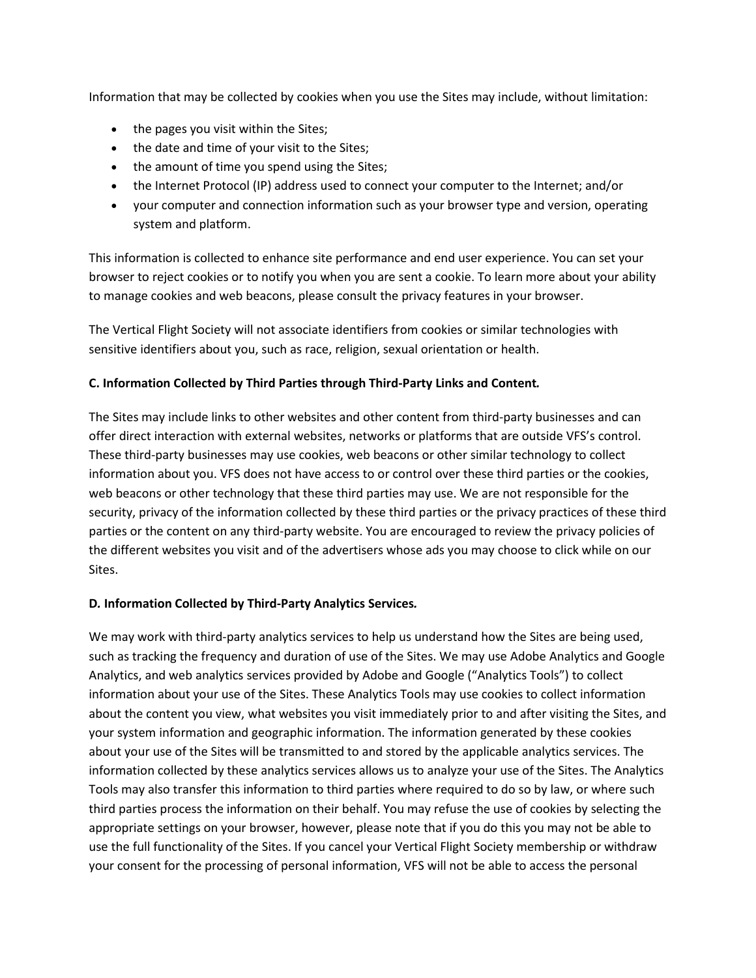Information that may be collected by cookies when you use the Sites may include, without limitation:

- the pages you visit within the Sites;
- the date and time of your visit to the Sites;
- the amount of time you spend using the Sites;
- the Internet Protocol (IP) address used to connect your computer to the Internet; and/or
- your computer and connection information such as your browser type and version, operating system and platform.

This information is collected to enhance site performance and end user experience. You can set your browser to reject cookies or to notify you when you are sent a cookie. To learn more about your ability to manage cookies and web beacons, please consult the privacy features in your browser.

The Vertical Flight Society will not associate identifiers from cookies or similar technologies with sensitive identifiers about you, such as race, religion, sexual orientation or health.

# **C. Information Collected by Third Parties through Third-Party Links and Content***.*

The Sites may include links to other websites and other content from third-party businesses and can offer direct interaction with external websites, networks or platforms that are outside VFS's control. These third-party businesses may use cookies, web beacons or other similar technology to collect information about you. VFS does not have access to or control over these third parties or the cookies, web beacons or other technology that these third parties may use. We are not responsible for the security, privacy of the information collected by these third parties or the privacy practices of these third parties or the content on any third-party website. You are encouraged to review the privacy policies of the different websites you visit and of the advertisers whose ads you may choose to click while on our Sites.

#### **D***.* **Information Collected by Third-Party Analytics Services***.*

We may work with third-party analytics services to help us understand how the Sites are being used, such as tracking the frequency and duration of use of the Sites. We may use Adobe Analytics and Google Analytics, and web analytics services provided by Adobe and Google ("Analytics Tools") to collect information about your use of the Sites. These Analytics Tools may use cookies to collect information about the content you view, what websites you visit immediately prior to and after visiting the Sites, and your system information and geographic information. The information generated by these cookies about your use of the Sites will be transmitted to and stored by the applicable analytics services. The information collected by these analytics services allows us to analyze your use of the Sites. The Analytics Tools may also transfer this information to third parties where required to do so by law, or where such third parties process the information on their behalf. You may refuse the use of cookies by selecting the appropriate settings on your browser, however, please note that if you do this you may not be able to use the full functionality of the Sites. If you cancel your Vertical Flight Society membership or withdraw your consent for the processing of personal information, VFS will not be able to access the personal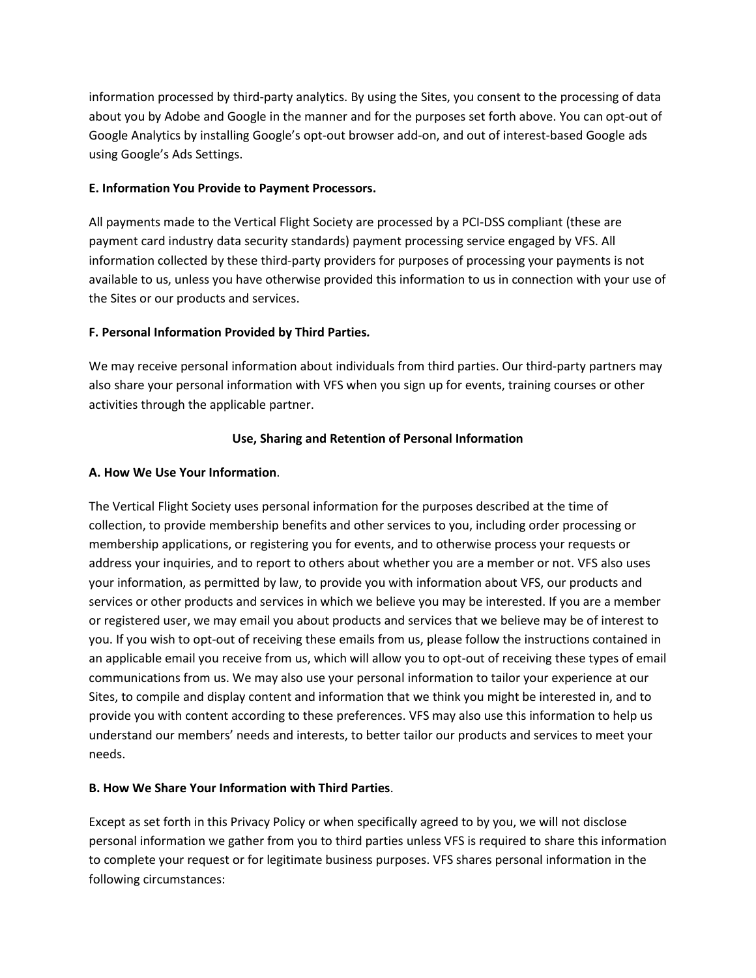information processed by third-party analytics. By using the Sites, you consent to the processing of data about you by Adobe and Google in the manner and for the purposes set forth above. You can opt-out of Google Analytics by installing Google's opt-out browser add-on, and out of interest-based Google ads using Google's Ads Settings.

### **E. Information You Provide to Payment Processors.**

All payments made to the Vertical Flight Society are processed by a PCI-DSS compliant (these are payment card industry data security standards) payment processing service engaged by VFS. All information collected by these third-party providers for purposes of processing your payments is not available to us, unless you have otherwise provided this information to us in connection with your use of the Sites or our products and services.

# **F. Personal Information Provided by Third Parties***.*

We may receive personal information about individuals from third parties. Our third-party partners may also share your personal information with VFS when you sign up for events, training courses or other activities through the applicable partner.

### **Use, Sharing and Retention of Personal Information**

### **A. How We Use Your Information**.

The Vertical Flight Society uses personal information for the purposes described at the time of collection, to provide membership benefits and other services to you, including order processing or membership applications, or registering you for events, and to otherwise process your requests or address your inquiries, and to report to others about whether you are a member or not. VFS also uses your information, as permitted by law, to provide you with information about VFS, our products and services or other products and services in which we believe you may be interested. If you are a member or registered user, we may email you about products and services that we believe may be of interest to you. If you wish to opt-out of receiving these emails from us, please follow the instructions contained in an applicable email you receive from us, which will allow you to opt-out of receiving these types of email communications from us. We may also use your personal information to tailor your experience at our Sites, to compile and display content and information that we think you might be interested in, and to provide you with content according to these preferences. VFS may also use this information to help us understand our members' needs and interests, to better tailor our products and services to meet your needs.

# **B. How We Share Your Information with Third Parties**.

Except as set forth in this Privacy Policy or when specifically agreed to by you, we will not disclose personal information we gather from you to third parties unless VFS is required to share this information to complete your request or for legitimate business purposes. VFS shares personal information in the following circumstances: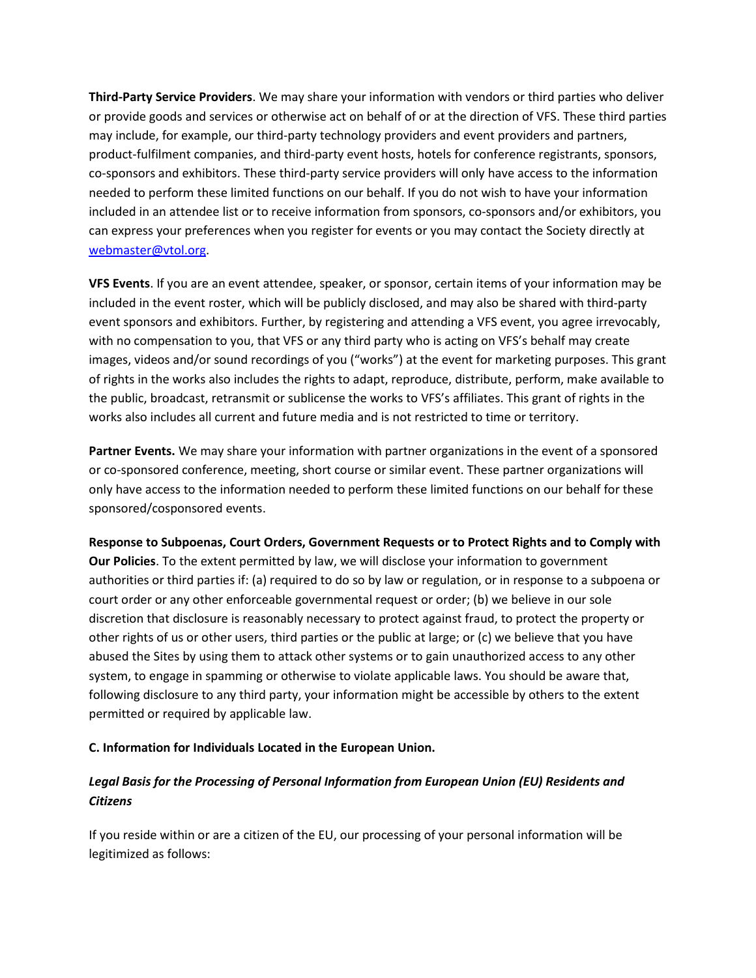**Third-Party Service Providers**. We may share your information with vendors or third parties who deliver or provide goods and services or otherwise act on behalf of or at the direction of VFS. These third parties may include, for example, our third-party technology providers and event providers and partners, product-fulfilment companies, and third-party event hosts, hotels for conference registrants, sponsors, co-sponsors and exhibitors. These third-party service providers will only have access to the information needed to perform these limited functions on our behalf. If you do not wish to have your information included in an attendee list or to receive information from sponsors, co-sponsors and/or exhibitors, you can express your preferences when you register for events or you may contact the Society directly at [webmaster@vtol.org.](mailto:webmaster@vtol.org)

**VFS Events**. If you are an event attendee, speaker, or sponsor, certain items of your information may be included in the event roster, which will be publicly disclosed, and may also be shared with third-party event sponsors and exhibitors. Further, by registering and attending a VFS event, you agree irrevocably, with no compensation to you, that VFS or any third party who is acting on VFS's behalf may create images, videos and/or sound recordings of you ("works") at the event for marketing purposes. This grant of rights in the works also includes the rights to adapt, reproduce, distribute, perform, make available to the public, broadcast, retransmit or sublicense the works to VFS's affiliates. This grant of rights in the works also includes all current and future media and is not restricted to time or territory.

**Partner Events.** We may share your information with partner organizations in the event of a sponsored or co-sponsored conference, meeting, short course or similar event. These partner organizations will only have access to the information needed to perform these limited functions on our behalf for these sponsored/cosponsored events.

**Response to Subpoenas, Court Orders, Government Requests or to Protect Rights and to Comply with Our Policies**. To the extent permitted by law, we will disclose your information to government authorities or third parties if: (a) required to do so by law or regulation, or in response to a subpoena or court order or any other enforceable governmental request or order; (b) we believe in our sole discretion that disclosure is reasonably necessary to protect against fraud, to protect the property or other rights of us or other users, third parties or the public at large; or (c) we believe that you have abused the Sites by using them to attack other systems or to gain unauthorized access to any other system, to engage in spamming or otherwise to violate applicable laws. You should be aware that, following disclosure to any third party, your information might be accessible by others to the extent permitted or required by applicable law.

# **C. Information for Individuals Located in the European Union.**

# *Legal Basis for the Processing of Personal Information from European Union (EU) Residents and Citizens*

If you reside within or are a citizen of the EU, our processing of your personal information will be legitimized as follows: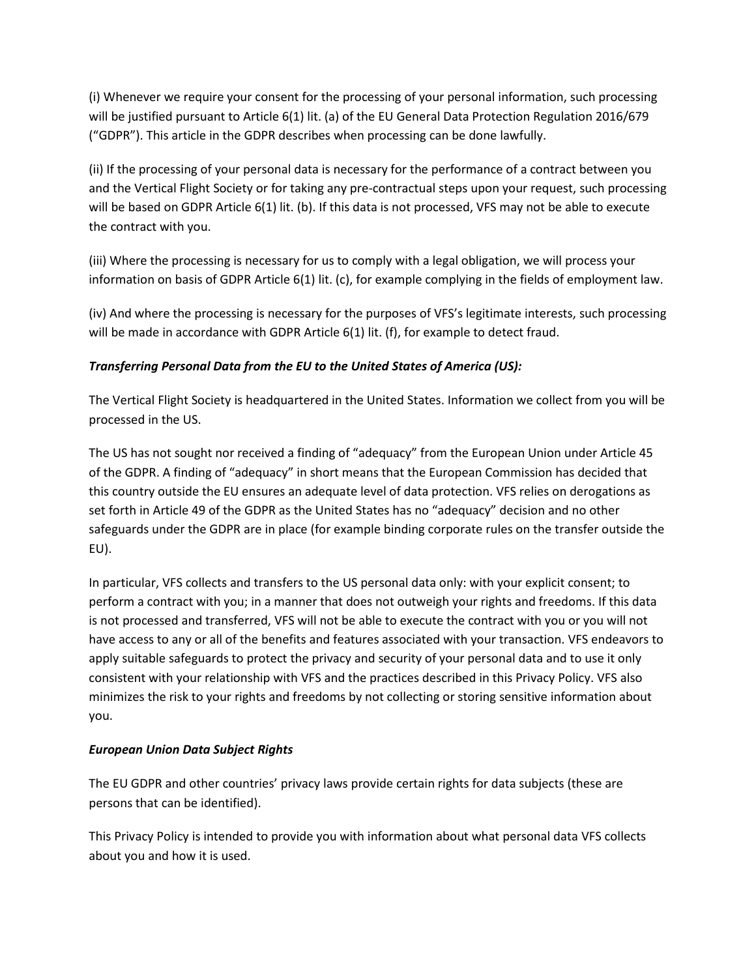(i) Whenever we require your consent for the processing of your personal information, such processing will be justified pursuant to Article 6(1) lit. (a) of the EU General Data Protection Regulation 2016/679 ("GDPR"). This article in the GDPR describes when processing can be done lawfully.

(ii) If the processing of your personal data is necessary for the performance of a contract between you and the Vertical Flight Society or for taking any pre-contractual steps upon your request, such processing will be based on GDPR Article 6(1) lit. (b). If this data is not processed, VFS may not be able to execute the contract with you.

(iii) Where the processing is necessary for us to comply with a legal obligation, we will process your information on basis of GDPR Article 6(1) lit. (c), for example complying in the fields of employment law.

(iv) And where the processing is necessary for the purposes of VFS's legitimate interests, such processing will be made in accordance with GDPR Article 6(1) lit. (f), for example to detect fraud.

# *Transferring Personal Data from the EU to the United States of America (US):*

The Vertical Flight Society is headquartered in the United States. Information we collect from you will be processed in the US.

The US has not sought nor received a finding of "adequacy" from the European Union under Article 45 of the GDPR. A finding of "adequacy" in short means that the European Commission has decided that this country outside the EU ensures an adequate level of data protection. VFS relies on derogations as set forth in Article 49 of the GDPR as the United States has no "adequacy" decision and no other safeguards under the GDPR are in place (for example binding corporate rules on the transfer outside the EU).

In particular, VFS collects and transfers to the US personal data only: with your explicit consent; to perform a contract with you; in a manner that does not outweigh your rights and freedoms. If this data is not processed and transferred, VFS will not be able to execute the contract with you or you will not have access to any or all of the benefits and features associated with your transaction. VFS endeavors to apply suitable safeguards to protect the privacy and security of your personal data and to use it only consistent with your relationship with VFS and the practices described in this Privacy Policy. VFS also minimizes the risk to your rights and freedoms by not collecting or storing sensitive information about you.

# *European Union Data Subject Rights*

The EU GDPR and other countries' privacy laws provide certain rights for data subjects (these are persons that can be identified).

This Privacy Policy is intended to provide you with information about what personal data VFS collects about you and how it is used.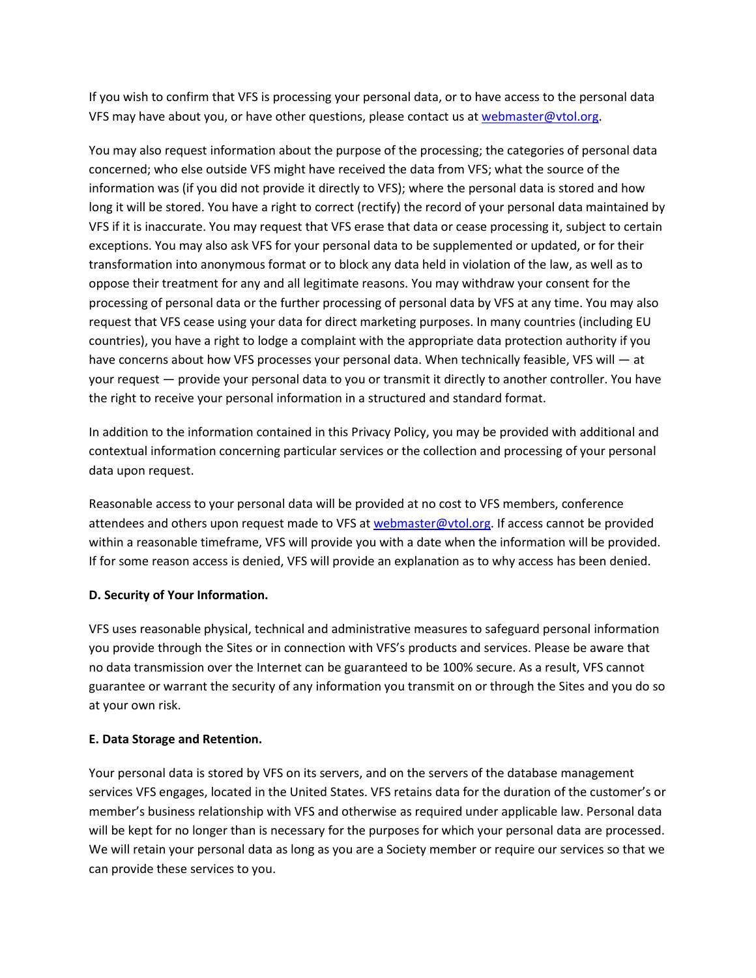If you wish to confirm that VFS is processing your personal data, or to have access to the personal data VFS may have about you, or have other questions, please contact us at [webmaster@vtol.org.](mailto:webmaster@vtol.org)

You may also request information about the purpose of the processing; the categories of personal data concerned; who else outside VFS might have received the data from VFS; what the source of the information was (if you did not provide it directly to VFS); where the personal data is stored and how long it will be stored. You have a right to correct (rectify) the record of your personal data maintained by VFS if it is inaccurate. You may request that VFS erase that data or cease processing it, subject to certain exceptions. You may also ask VFS for your personal data to be supplemented or updated, or for their transformation into anonymous format or to block any data held in violation of the law, as well as to oppose their treatment for any and all legitimate reasons. You may withdraw your consent for the processing of personal data or the further processing of personal data by VFS at any time. You may also request that VFS cease using your data for direct marketing purposes. In many countries (including EU countries), you have a right to lodge a complaint with the appropriate data protection authority if you have concerns about how VFS processes your personal data. When technically feasible, VFS will - at your request — provide your personal data to you or transmit it directly to another controller. You have the right to receive your personal information in a structured and standard format.

In addition to the information contained in this Privacy Policy, you may be provided with additional and contextual information concerning particular services or the collection and processing of your personal data upon request.

Reasonable access to your personal data will be provided at no cost to VFS members, conference attendees and others upon request made to VFS at [webmaster@vtol.org.](mailto:webmaster@vtol.org) If access cannot be provided within a reasonable timeframe, VFS will provide you with a date when the information will be provided. If for some reason access is denied, VFS will provide an explanation as to why access has been denied.

# **D. Security of Your Information.**

VFS uses reasonable physical, technical and administrative measures to safeguard personal information you provide through the Sites or in connection with VFS's products and services. Please be aware that no data transmission over the Internet can be guaranteed to be 100% secure. As a result, VFS cannot guarantee or warrant the security of any information you transmit on or through the Sites and you do so at your own risk.

#### **E. Data Storage and Retention.**

Your personal data is stored by VFS on its servers, and on the servers of the database management services VFS engages, located in the United States. VFS retains data for the duration of the customer's or member's business relationship with VFS and otherwise as required under applicable law. Personal data will be kept for no longer than is necessary for the purposes for which your personal data are processed. We will retain your personal data as long as you are a Society member or require our services so that we can provide these services to you.